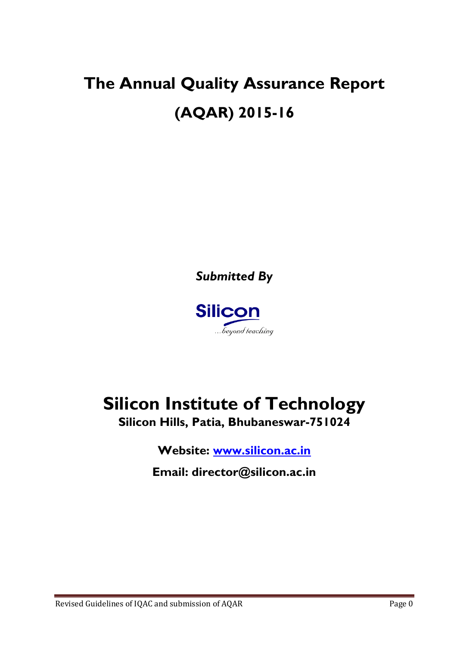# **The Annual Quality Assurance Report (AQAR) 2015-16**

*Submitted By*



## **Silicon Institute of Technology Silicon Hills, Patia, Bhubaneswar-751024**

**Website: [www.silicon.ac.in](http://www.silicon.ac.in/)**

**Email: director@silicon.ac.in**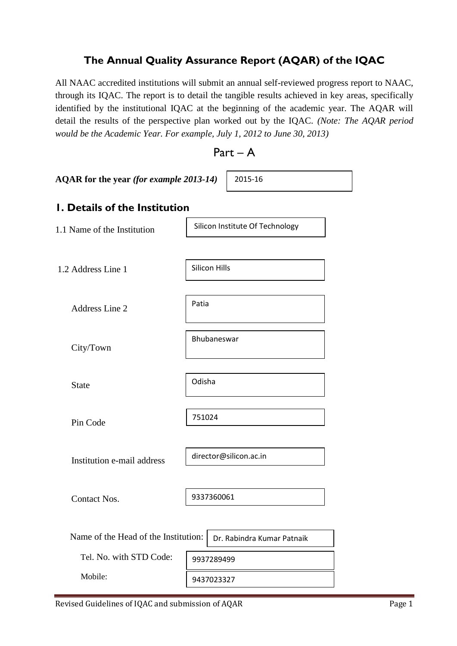### **The Annual Quality Assurance Report (AQAR) of the IQAC**

All NAAC accredited institutions will submit an annual self-reviewed progress report to NAAC, through its IQAC. The report is to detail the tangible results achieved in key areas, specifically identified by the institutional IQAC at the beginning of the academic year. The AQAR will detail the results of the perspective plan worked out by the IQAC. *(Note: The AQAR period would be the Academic Year. For example, July 1, 2012 to June 30, 2013)*

Part – A

| AQAR for the year (for example 2013-14) | 2015-16                         |  |  |  |  |  |  |  |
|-----------------------------------------|---------------------------------|--|--|--|--|--|--|--|
| <b>I. Details of the Institution</b>    |                                 |  |  |  |  |  |  |  |
| 1.1 Name of the Institution             | Silicon Institute Of Technology |  |  |  |  |  |  |  |
| 1.2 Address Line 1                      | <b>Silicon Hills</b>            |  |  |  |  |  |  |  |
| <b>Address Line 2</b>                   | Patia                           |  |  |  |  |  |  |  |
| City/Town                               | Bhubaneswar                     |  |  |  |  |  |  |  |
| <b>State</b>                            | Odisha                          |  |  |  |  |  |  |  |
| Pin Code                                | 751024                          |  |  |  |  |  |  |  |
| Institution e-mail address              | director@silicon.ac.in          |  |  |  |  |  |  |  |
| <b>Contact Nos.</b>                     | 9337360061                      |  |  |  |  |  |  |  |
| Name of the Head of the Institution:    | Dr. Rabindra Kumar Patnaik      |  |  |  |  |  |  |  |
| Tel. No. with STD Code:                 | 9937289499                      |  |  |  |  |  |  |  |
| Mobile:                                 | 9437023327                      |  |  |  |  |  |  |  |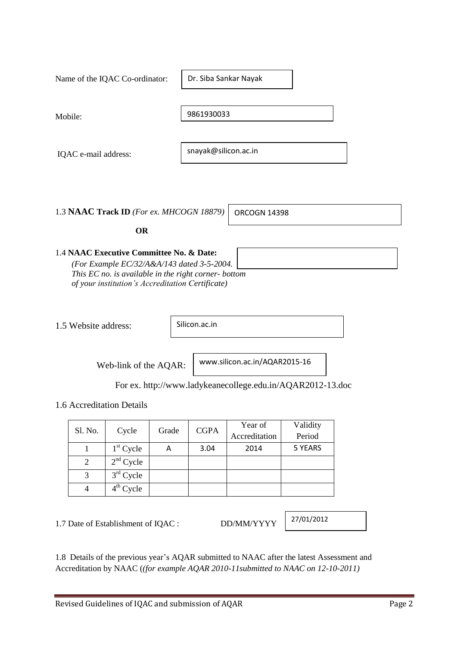|                      |                | Name of the IQAC Co-ordinator:                                                                                                                                                                     |       |                      | Dr. Siba Sankar Nayak                                                                       |                    |  |
|----------------------|----------------|----------------------------------------------------------------------------------------------------------------------------------------------------------------------------------------------------|-------|----------------------|---------------------------------------------------------------------------------------------|--------------------|--|
| Mobile:              |                |                                                                                                                                                                                                    |       | 9861930033           |                                                                                             |                    |  |
| IQAC e-mail address: |                |                                                                                                                                                                                                    |       | snayak@silicon.ac.in |                                                                                             |                    |  |
|                      |                | 1.3 NAAC Track ID (For ex. MHCOGN 18879)<br><b>OR</b>                                                                                                                                              |       |                      | <b>ORCOGN 14398</b>                                                                         |                    |  |
|                      |                | 1.4 NAAC Executive Committee No. & Date:<br>(For Example EC/32/A&A/143 dated 3-5-2004.<br>This EC no. is available in the right corner- bottom<br>of your institution's Accreditation Certificate) |       |                      |                                                                                             |                    |  |
| 1.5 Website address: |                |                                                                                                                                                                                                    |       | Silicon.ac.in        |                                                                                             |                    |  |
|                      |                | Web-link of the AQAR:                                                                                                                                                                              |       |                      | www.silicon.ac.in/AQAR2015-16<br>For ex. http://www.ladykeanecollege.edu.in/AQAR2012-13.doc |                    |  |
|                      |                | 1.6 Accreditation Details                                                                                                                                                                          |       |                      |                                                                                             |                    |  |
|                      | Sl. No.        | Cycle                                                                                                                                                                                              | Grade | <b>CGPA</b>          | Year of<br>Accreditation                                                                    | Validity<br>Period |  |
|                      | $\mathbf{1}$   | $1st$ Cycle                                                                                                                                                                                        | A     | 3.04                 | 2014                                                                                        | 5 YEARS            |  |
|                      | $\overline{2}$ | $2nd$ Cycle                                                                                                                                                                                        |       |                      |                                                                                             |                    |  |
|                      | 3              | $3rd$ Cycle                                                                                                                                                                                        |       |                      |                                                                                             |                    |  |

٦

 $\overline{1}$ 

1.7 Date of Establishment of IQAC : DD/MM/YYYY

4  $\downarrow$  4<sup>th</sup> Cycle

27/01/2012

1.8 Details of the previous year's AQAR submitted to NAAC after the latest Assessment and Accreditation by NAAC (*(for example AQAR 2010-11submitted to NAAC on 12-10-2011)*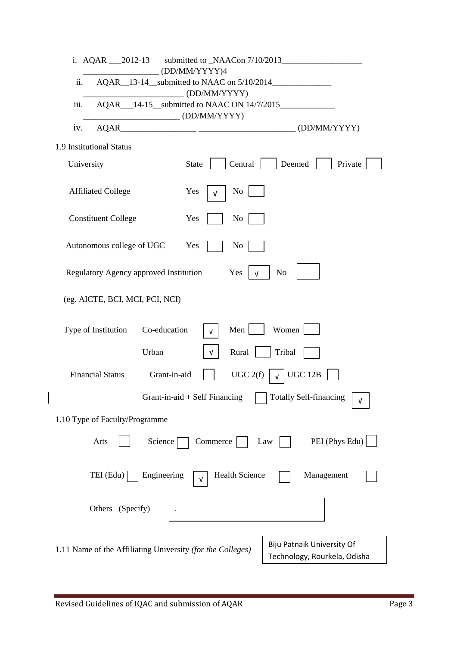| i. AQAR 2012-13 submitted to NAACon 7/10/2013<br>(DD/MM/YYYY)4                                                                                                                                                                                                                                                                                                                                                                                                                                 |
|------------------------------------------------------------------------------------------------------------------------------------------------------------------------------------------------------------------------------------------------------------------------------------------------------------------------------------------------------------------------------------------------------------------------------------------------------------------------------------------------|
| ii.                                                                                                                                                                                                                                                                                                                                                                                                                                                                                            |
| $\begin{CD}$ (DD/MM/YYYY)<br>iii.                                                                                                                                                                                                                                                                                                                                                                                                                                                              |
| $\sqrt{\text{DD/MM/YYYY}}$                                                                                                                                                                                                                                                                                                                                                                                                                                                                     |
| $\begin{tabular}{c} AQAR \end{tabular} \begin{tabular}{c} \multicolumn{2}{c}{} \multicolumn{2}{c}{} \multicolumn{2}{c}{} \multicolumn{2}{c}{} \multicolumn{2}{c}{} \multicolumn{2}{c}{} \multicolumn{2}{c}{} \multicolumn{2}{c}{} \multicolumn{2}{c}{} \multicolumn{2}{c}{} \multicolumn{2}{c}{} \multicolumn{2}{c}{} \multicolumn{2}{c}{} \multicolumn{2}{c}{} \multicolumn{2}{c}{} \multicolumn{2}{c}{} \multicolumn{2}{c}{} \multicolumn{2}{c}{} \multicolumn{2}{c}{} \multicolumn{$<br>iv. |
| 1.9 Institutional Status                                                                                                                                                                                                                                                                                                                                                                                                                                                                       |
| Central<br>Deemed<br>Private<br>University<br><b>State</b>                                                                                                                                                                                                                                                                                                                                                                                                                                     |
| <b>Affiliated College</b><br>N <sub>0</sub><br>Yes<br>v                                                                                                                                                                                                                                                                                                                                                                                                                                        |
| <b>Constituent College</b><br>Yes<br>N <sub>0</sub>                                                                                                                                                                                                                                                                                                                                                                                                                                            |
| Autonomous college of UGC<br>Yes<br>N <sub>0</sub>                                                                                                                                                                                                                                                                                                                                                                                                                                             |
| Regulatory Agency approved Institution<br>N <sub>o</sub><br>Yes<br>ν                                                                                                                                                                                                                                                                                                                                                                                                                           |
| (eg. AICTE, BCI, MCI, PCI, NCI)                                                                                                                                                                                                                                                                                                                                                                                                                                                                |
| Women<br>Type of Institution<br>Co-education<br>Men<br>V                                                                                                                                                                                                                                                                                                                                                                                                                                       |
| Urban<br>Rural<br>Tribal<br>v.                                                                                                                                                                                                                                                                                                                                                                                                                                                                 |
| $\sqrt{\phantom{a}}$ UGC 12B<br>Grant-in-aid<br>UGC 2(f)<br><b>Financial Status</b>                                                                                                                                                                                                                                                                                                                                                                                                            |
| Totally Self-financing<br>$\mathbf{L}$<br>Grant-in-aid + Self Financing<br>v                                                                                                                                                                                                                                                                                                                                                                                                                   |
| 1.10 Type of Faculty/Programme                                                                                                                                                                                                                                                                                                                                                                                                                                                                 |
| PEI (Phys Edu)<br>Commerce  <br>Arts<br>Science<br>Law                                                                                                                                                                                                                                                                                                                                                                                                                                         |
| $TEI$ (Edu) $\vert$<br>Engineering<br><b>Health Science</b><br>Management<br>v                                                                                                                                                                                                                                                                                                                                                                                                                 |
| Others (Specify)                                                                                                                                                                                                                                                                                                                                                                                                                                                                               |
|                                                                                                                                                                                                                                                                                                                                                                                                                                                                                                |
| Biju Patnaik University Of<br>1.11 Name of the Affiliating University (for the Colleges)<br>Technology, Rourkela, Odisha                                                                                                                                                                                                                                                                                                                                                                       |

 $\overline{\phantom{a}}$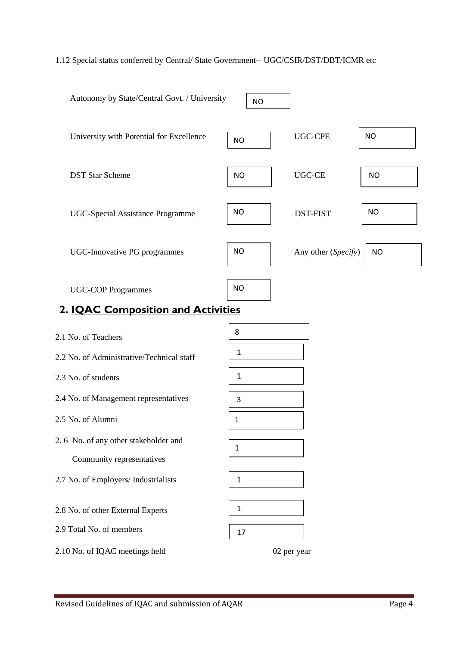#### 1.12 Special status conferred by Central/ State Government-- UGC/CSIR/DST/DBT/ICMR etc

| Autonomy by State/Central Govt. / University                      | <b>NO</b>    |                     |           |
|-------------------------------------------------------------------|--------------|---------------------|-----------|
| University with Potential for Excellence                          | <b>NO</b>    | <b>UGC-CPE</b>      | <b>NO</b> |
| <b>DST Star Scheme</b>                                            | <b>NO</b>    | <b>UGC-CE</b>       | <b>NO</b> |
| <b>UGC-Special Assistance Programme</b>                           | <b>NO</b>    | <b>DST-FIST</b>     | <b>NO</b> |
| UGC-Innovative PG programmes                                      | <b>NO</b>    | Any other (Specify) | <b>NO</b> |
| <b>UGC-COP Programmes</b><br>2. IQAC Composition and Activities   | <b>NO</b>    |                     |           |
|                                                                   |              |                     |           |
| 2.1 No. of Teachers                                               | 8            |                     |           |
| 2.2 No. of Administrative/Technical staff                         | 1            |                     |           |
| 2.3 No. of students                                               | $\mathbf{1}$ |                     |           |
| 2.4 No. of Management representatives                             | 3            |                     |           |
| 2.5 No. of Alumni                                                 | $\mathbf{1}$ |                     |           |
| 2.6 No. of any other stakeholder and<br>Community representatives | $\mathbf{1}$ |                     |           |
| 2.7 No. of Employers/ Industrialists                              | $\mathbf{1}$ |                     |           |
|                                                                   |              |                     |           |

2.8 No. of other External Experts

2.9 Total No. of members

2.10 No. of IQAC meetings held 02 per year

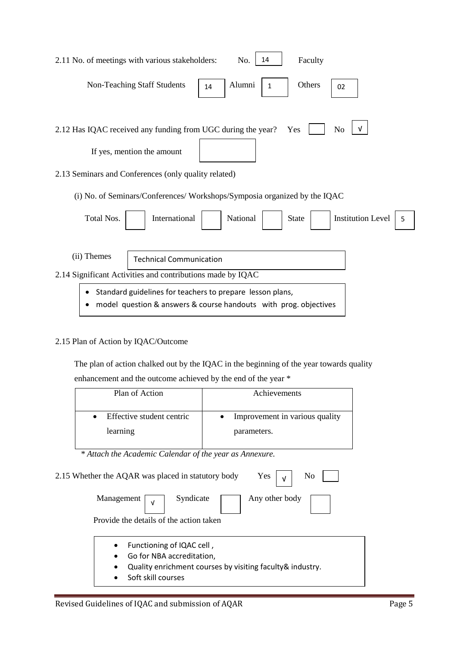| No.<br>Faculty<br>2.11 No. of meetings with various stakeholders:<br>14                                                       |
|-------------------------------------------------------------------------------------------------------------------------------|
| Alumni<br><b>Non-Teaching Staff Students</b><br>Others<br>1<br>14<br>02                                                       |
| N <sub>o</sub><br>2.12 Has IQAC received any funding from UGC during the year?<br>Yes<br>If yes, mention the amount           |
| 2.13 Seminars and Conferences (only quality related)                                                                          |
| (i) No. of Seminars/Conferences/Workshops/Symposia organized by the IQAC                                                      |
| Total Nos.<br>International<br>National<br><b>Institution Level</b><br><b>State</b><br>5                                      |
| (ii) Themes<br><b>Technical Communication</b>                                                                                 |
| 2.14 Significant Activities and contributions made by IQAC                                                                    |
| Standard guidelines for teachers to prepare lesson plans,<br>model question & answers & course handouts with prog. objectives |

### 2.15 Plan of Action by IQAC/Outcome

 The plan of action chalked out by the IQAC in the beginning of the year towards quality enhancement and the outcome achieved by the end of the year \*

| Plan of Action            | Achievements                   |
|---------------------------|--------------------------------|
| Effective student centric | Improvement in various quality |
| learning                  | parameters.                    |

 *\* Attach the Academic Calendar of the year as Annexure.*

| Yes<br>2.15 Whether the AQAR was placed in statutory body<br>No                                                                                                                |
|--------------------------------------------------------------------------------------------------------------------------------------------------------------------------------|
| Syndicate<br>Any other body<br>Management $\vert \sqrt{ } \vert$                                                                                                               |
| Provide the details of the action taken                                                                                                                                        |
| Functioning of IQAC cell,<br>$\bullet$<br>Go for NBA accreditation,<br>$\bullet$<br>Quality enrichment courses by visiting faculty & industry.<br>٠<br>Soft skill courses<br>٠ |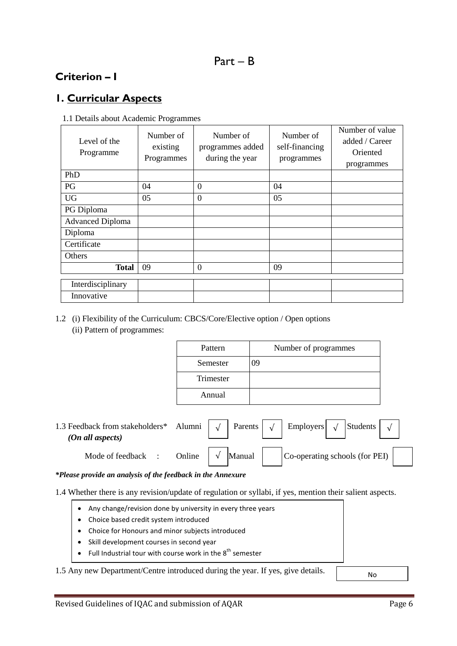### **Criterion – I**

### **1. Curricular Aspects**

| 1.1 Details about Academic Programmes |  |
|---------------------------------------|--|
|---------------------------------------|--|

| Level of the<br>Programme | Number of<br>existing<br>Programmes | Number of<br>programmes added<br>during the year | Number of<br>self-financing<br>programmes | Number of value<br>added / Career<br>Oriented<br>programmes |
|---------------------------|-------------------------------------|--------------------------------------------------|-------------------------------------------|-------------------------------------------------------------|
| PhD                       |                                     |                                                  |                                           |                                                             |
| PG                        | 04                                  | $\Omega$                                         | 04                                        |                                                             |
| <b>UG</b>                 | 05                                  | $\Omega$                                         | 05                                        |                                                             |
| PG Diploma                |                                     |                                                  |                                           |                                                             |
| <b>Advanced Diploma</b>   |                                     |                                                  |                                           |                                                             |
| Diploma                   |                                     |                                                  |                                           |                                                             |
| Certificate               |                                     |                                                  |                                           |                                                             |
| Others                    |                                     |                                                  |                                           |                                                             |
| <b>Total</b>              | 09                                  | $\Omega$                                         | 09                                        |                                                             |
| Interdisciplinary         |                                     |                                                  |                                           |                                                             |
| Innovative                |                                     |                                                  |                                           |                                                             |

#### 1.2 (i) Flexibility of the Curriculum: CBCS/Core/Elective option / Open options (ii) Pattern of programmes:

| Pattern   | Number of programmes |
|-----------|----------------------|
| Semester  | 09                   |
| Trimester |                      |
| Annual    |                      |

| 1.3 Feedback from stakeholders*<br>(On all aspects) | Alumni |   | Parents | Employers $\sqrt{}$            | Students |  |
|-----------------------------------------------------|--------|---|---------|--------------------------------|----------|--|
| Mode of feedback                                    | Online | V | Manual  | Co-operating schools (for PEI) |          |  |

*\*Please provide an analysis of the feedback in the Annexure*

1.4 Whether there is any revision/update of regulation or syllabi, if yes, mention their salient aspects.

- Any change/revision done by university in every three years
- Choice based credit system introduced
- Choice for Honours and minor subjects introduced
- Skill development courses in second year
- Full Industrial tour with course work in the  $8^{th}$  semester

1.5 Any new Department/Centre introduced during the year. If yes, give details.

No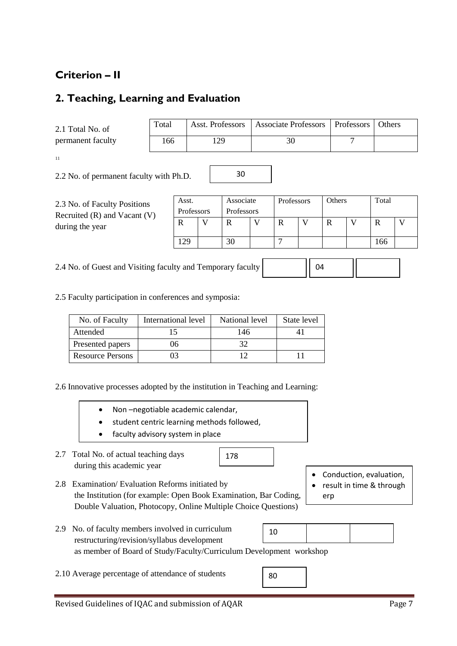### **Criterion – II**

### **2. Teaching, Learning and Evaluation**

| 2.1 Total No. of  | Total | Asst. Professors | Associate Professors   Professors | <b>Others</b> |
|-------------------|-------|------------------|-----------------------------------|---------------|
| permanent faculty | 166   | 129              |                                   |               |
| 11                |       |                  |                                   |               |

30

2.2 No. of permanent faculty with Ph.D.

| 2.3 No. of Faculty Positions<br>Recruited $(R)$ and Vacant $(V)$<br>during the year | Asst.<br>Professors |  |    | Associate<br>Professors<br>Professors |  | Others |  | Total |     |  |
|-------------------------------------------------------------------------------------|---------------------|--|----|---------------------------------------|--|--------|--|-------|-----|--|
|                                                                                     | D                   |  | R  |                                       |  |        |  |       |     |  |
|                                                                                     | 129                 |  | 30 |                                       |  |        |  |       | 166 |  |

2.4 No. of Guest and Visiting faculty and Temporary faculty

2.5 Faculty participation in conferences and symposia:

| No. of Faculty          | International level | National level | State level |
|-------------------------|---------------------|----------------|-------------|
| Attended                |                     | 146            |             |
| Presented papers        | 06                  |                |             |
| <b>Resource Persons</b> |                     |                |             |

2.6 Innovative processes adopted by the institution in Teaching and Learning:

- Non –negotiable academic calendar,
- student centric learning methods followed,
- faculty advisory system in place
- 2.7 Total No. of actual teaching days during this academic year
- 2.8 Examination/ Evaluation Reforms initiated by the Institution (for example: Open Book Examination, Bar Coding, Double Valuation, Photocopy, Online Multiple Choice Questions)
- Conduction, evaluation,
- result in time & through erp
- 2.9 No. of faculty members involved in curriculum restructuring/revision/syllabus development as member of Board of Study/Faculty/Curriculum Development workshop 10

178

- 2.10 Average percentage of attendance of students
- 80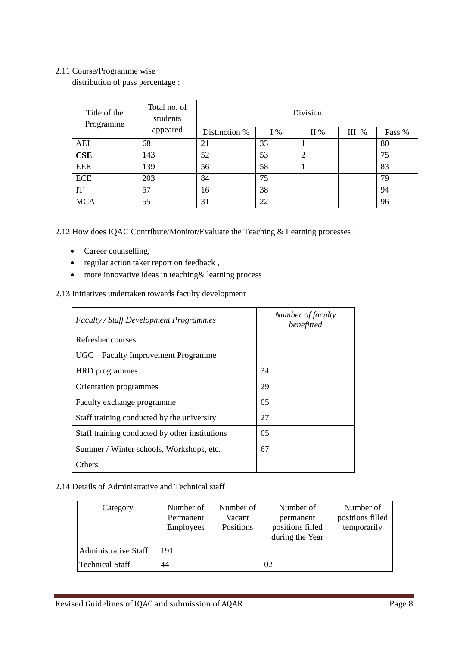#### 2.11 Course/Programme wise

distribution of pass percentage :

| Title of the<br>Programme | Total no. of<br>students |               | Division |     |         |        |  |  |
|---------------------------|--------------------------|---------------|----------|-----|---------|--------|--|--|
|                           | appeared                 | Distinction % | $I\%$    | II% | $III$ % | Pass % |  |  |
| <b>AEI</b>                | 68                       | 21            | 33       |     |         | 80     |  |  |
| <b>CSE</b>                | 143                      | 52            | 53       | ∍   |         | 75     |  |  |
| <b>EEE</b>                | 139                      | 56            | 58       |     |         | 83     |  |  |
| <b>ECE</b>                | 203                      | 84            | 75       |     |         | 79     |  |  |
| IT                        | 57                       | 16            | 38       |     |         | 94     |  |  |
| <b>MCA</b>                | 55                       | 31            | 22       |     |         | 96     |  |  |

2.12 How does IQAC Contribute/Monitor/Evaluate the Teaching & Learning processes :

- Career counselling,
- regular action taker report on feedback ,
- more innovative ideas in teaching& learning process

2.13 Initiatives undertaken towards faculty development

| <b>Faculty / Staff Development Programmes</b>  | Number of faculty<br>benefitted |
|------------------------------------------------|---------------------------------|
| Refresher courses                              |                                 |
| UGC – Faculty Improvement Programme            |                                 |
| <b>HRD</b> programmes                          | 34                              |
| Orientation programmes                         | 29                              |
| Faculty exchange programme                     | 0 <sub>5</sub>                  |
| Staff training conducted by the university     | 27                              |
| Staff training conducted by other institutions | 0 <sub>5</sub>                  |
| Summer / Winter schools, Workshops, etc.       | 67                              |
| Others                                         |                                 |

#### 2.14 Details of Administrative and Technical staff

| Category                    | Number of<br>Permanent<br><b>Employees</b> | Number of<br>Vacant<br><b>Positions</b> | Number of<br>permanent<br>positions filled<br>during the Year | Number of<br>positions filled<br>temporarily |
|-----------------------------|--------------------------------------------|-----------------------------------------|---------------------------------------------------------------|----------------------------------------------|
| <b>Administrative Staff</b> | 191                                        |                                         |                                                               |                                              |
| <b>Technical Staff</b>      | 44                                         |                                         |                                                               |                                              |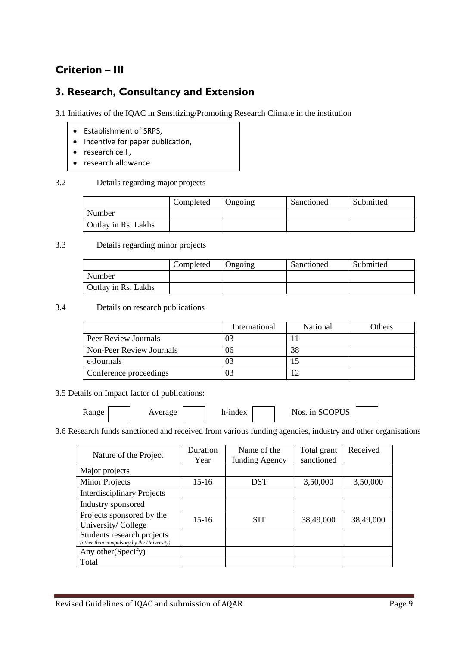### **Criterion – III**

### **3. Research, Consultancy and Extension**

3.1 Initiatives of the IQAC in Sensitizing/Promoting Research Climate in the institution

- Establishment of SRPS,
- Incentive for paper publication,
- $\bullet$  research cell,
- research allowance

#### 3.2 Details regarding major projects

|                     | Completed | <b>Ongoing</b> | Sanctioned | Submitted |
|---------------------|-----------|----------------|------------|-----------|
| Number              |           |                |            |           |
| Outlay in Rs. Lakhs |           |                |            |           |

#### 3.3 Details regarding minor projects

|                            | Completed | Ongoing | Sanctioned | Submitted |
|----------------------------|-----------|---------|------------|-----------|
| Number                     |           |         |            |           |
| <b>Outlay in Rs. Lakhs</b> |           |         |            |           |

#### 3.4 Details on research publications

|                          | International | National | Others |
|--------------------------|---------------|----------|--------|
| Peer Review Journals     | 03            |          |        |
| Non-Peer Review Journals | 06            | 38       |        |
| e-Journals               | 03            |          |        |
| Conference proceedings   | 03            |          |        |

3.5 Details on Impact factor of publications:

| Range | Average | h-index | in SCOPUS<br>Nos. |  |
|-------|---------|---------|-------------------|--|
|-------|---------|---------|-------------------|--|

3.6 Research funds sanctioned and received from various funding agencies, industry and other organisations

| Nature of the Project                                                   | Duration<br>Year | Name of the<br>funding Agency | Total grant<br>sanctioned | Received  |
|-------------------------------------------------------------------------|------------------|-------------------------------|---------------------------|-----------|
| Major projects                                                          |                  |                               |                           |           |
| <b>Minor Projects</b>                                                   | $15 - 16$        | <b>DST</b>                    | 3,50,000                  | 3,50,000  |
| <b>Interdisciplinary Projects</b>                                       |                  |                               |                           |           |
| Industry sponsored                                                      |                  |                               |                           |           |
| Projects sponsored by the<br>University/College                         | $15-16$          | SIT                           | 38,49,000                 | 38,49,000 |
| Students research projects<br>(other than compulsory by the University) |                  |                               |                           |           |
| Any other (Specify)                                                     |                  |                               |                           |           |
| Total                                                                   |                  |                               |                           |           |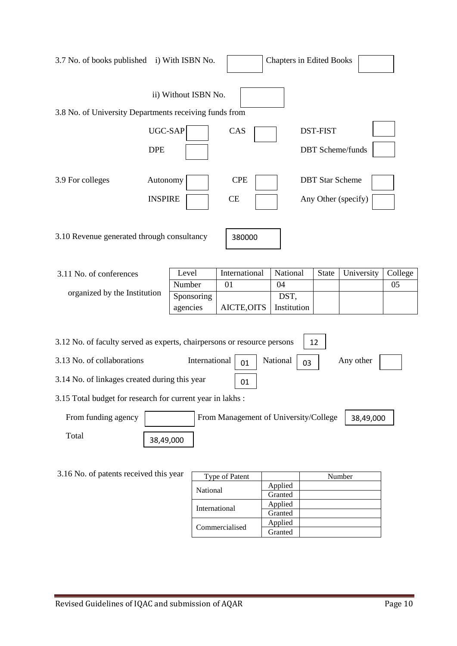| 3.7 No. of books published i) With ISBN No.                                                                         |                       |          |                      |                                       |  | <b>Chapters in Edited Books</b> |                                            |            |         |
|---------------------------------------------------------------------------------------------------------------------|-----------------------|----------|----------------------|---------------------------------------|--|---------------------------------|--------------------------------------------|------------|---------|
| 3.8 No. of University Departments receiving funds from                                                              |                       |          | ii) Without ISBN No. |                                       |  |                                 |                                            |            |         |
|                                                                                                                     | UGC-SAP<br><b>DPE</b> |          |                      | CAS                                   |  |                                 | <b>DST-FIST</b><br><b>DBT</b> Scheme/funds |            |         |
| <b>CPE</b><br>3.9 For colleges<br>Autonomy<br><b>DBT</b> Star Scheme<br><b>INSPIRE</b><br>CE<br>Any Other (specify) |                       |          |                      |                                       |  |                                 |                                            |            |         |
| 3.10 Revenue generated through consultancy<br>380000                                                                |                       |          |                      |                                       |  |                                 |                                            |            |         |
| 3.11 No. of conferences                                                                                             |                       | Level    |                      | International                         |  | National                        | State                                      | University | College |
|                                                                                                                     |                       | Number   |                      | 01                                    |  | 04                              |                                            |            | 05      |
| organized by the Institution                                                                                        |                       |          | Sponsoring           |                                       |  | DST,                            |                                            |            |         |
|                                                                                                                     |                       | agencies |                      | AICTE, OITS                           |  | Institution                     |                                            |            |         |
| 3.12 No. of faculty served as experts, chairpersons or resource persons                                             |                       |          |                      |                                       |  |                                 | 12                                         |            |         |
| 3.13 No. of collaborations                                                                                          |                       |          | International        | 01                                    |  | National                        | 03                                         | Any other  |         |
| 3.14 No. of linkages created during this year                                                                       |                       |          |                      | 01                                    |  |                                 |                                            |            |         |
| 3.15 Total budget for research for current year in lakhs :                                                          |                       |          |                      |                                       |  |                                 |                                            |            |         |
| From funding agency                                                                                                 |                       |          |                      | From Management of University/College |  |                                 |                                            | 38,49,000  |         |
| Total                                                                                                               | 38,49,000             |          |                      |                                       |  |                                 |                                            |            |         |
| 3.16 No. of patents received this year<br>Type of Patent<br>Number                                                  |                       |          |                      |                                       |  |                                 |                                            |            |         |
|                                                                                                                     |                       |          | National             |                                       |  | Applied                         |                                            |            |         |
|                                                                                                                     |                       |          |                      |                                       |  | Granted<br>Applied              |                                            |            |         |
| International<br>Granted                                                                                            |                       |          |                      |                                       |  |                                 |                                            |            |         |

Commercialised Applied

Granted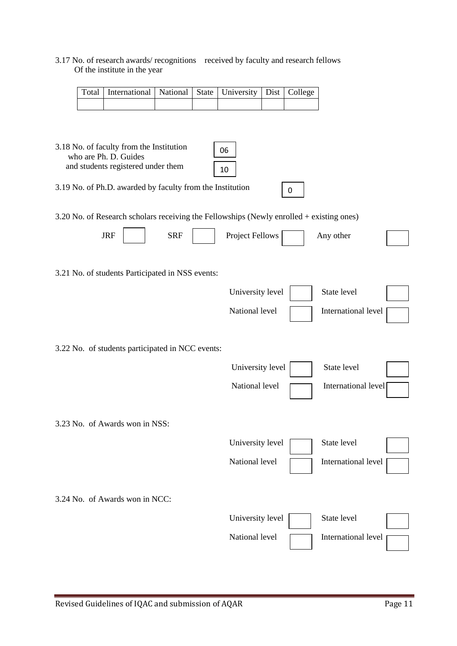#### 3.17 No. of research awards/ recognitions received by faculty and research fellows Of the institute in the year

| Total   International   National   State   University   Dist   College |  |  |  |
|------------------------------------------------------------------------|--|--|--|
|                                                                        |  |  |  |

| 3.18 No. of faculty from the Institution<br>06<br>who are Ph. D. Guides<br>and students registered under them<br>10 |                  |                     |
|---------------------------------------------------------------------------------------------------------------------|------------------|---------------------|
| 3.19 No. of Ph.D. awarded by faculty from the Institution                                                           | 0                |                     |
| 3.20 No. of Research scholars receiving the Fellowships (Newly enrolled + existing ones)                            |                  |                     |
| <b>JRF</b><br><b>SRF</b>                                                                                            | Project Fellows  | Any other           |
| 3.21 No. of students Participated in NSS events:                                                                    |                  |                     |
|                                                                                                                     | University level | State level         |
|                                                                                                                     | National level   | International level |
| 3.22 No. of students participated in NCC events:                                                                    |                  |                     |
|                                                                                                                     | University level | State level         |
|                                                                                                                     | National level   | International level |
| 3.23 No. of Awards won in NSS:                                                                                      |                  |                     |
|                                                                                                                     | University level | State level         |
|                                                                                                                     | National level   | International level |
| 3.24 No. of Awards won in NCC:                                                                                      |                  |                     |
|                                                                                                                     | University level | State level         |
|                                                                                                                     | National level   | International level |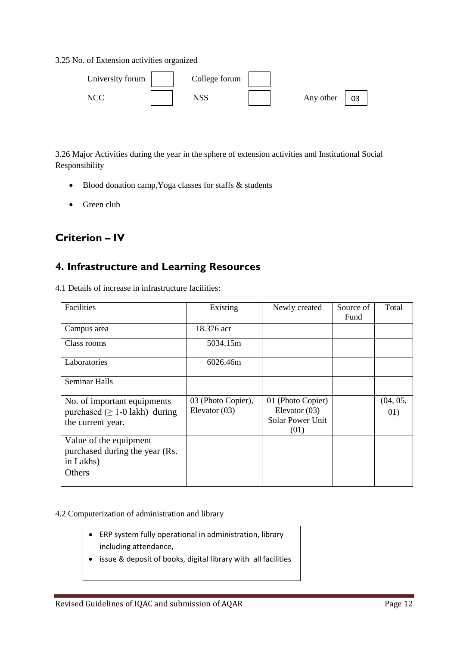3.25 No. of Extension activities organized

| University forum | College forum |           |  |
|------------------|---------------|-----------|--|
|                  | NSS           | Any other |  |

3.26 Major Activities during the year in the sphere of extension activities and Institutional Social Responsibility

- Blood donation camp, Yoga classes for staffs & students
- Green club

### **Criterion – IV**

### **4. Infrastructure and Learning Resources**

4.1 Details of increase in infrastructure facilities:

| Facilities                           | Existing           | Newly created           | Source of | Total    |
|--------------------------------------|--------------------|-------------------------|-----------|----------|
|                                      |                    |                         | Fund      |          |
| Campus area                          | 18.376 acr         |                         |           |          |
| Class rooms                          | 5034.15m           |                         |           |          |
| Laboratories                         | 6026.46m           |                         |           |          |
| <b>Seminar Halls</b>                 |                    |                         |           |          |
| No. of important equipments          | 03 (Photo Copier), | 01 (Photo Copier)       |           | (04, 05, |
| purchased $( \geq 1$ -0 lakh) during | Elevator $(03)$    | Elevator $(03)$         |           | 01)      |
| the current year.                    |                    | <b>Solar Power Unit</b> |           |          |
|                                      |                    | (01)                    |           |          |
| Value of the equipment               |                    |                         |           |          |
| purchased during the year (Rs.       |                    |                         |           |          |
| in Lakhs)                            |                    |                         |           |          |
| Others                               |                    |                         |           |          |
|                                      |                    |                         |           |          |

#### 4.2 Computerization of administration and library

- ERP system fully operational in administration, library including attendance,
- issue & deposit of books, digital library with all facilities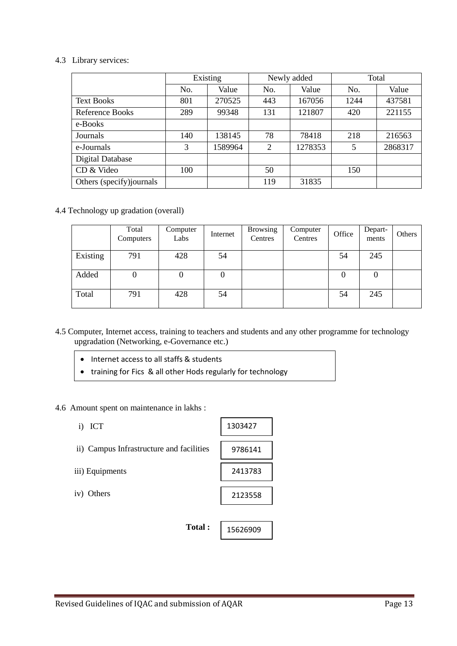#### 4.3 Library services:

|                          | Existing |         |                | Newly added | Total |         |
|--------------------------|----------|---------|----------------|-------------|-------|---------|
|                          | No.      | Value   | No.            | Value       | No.   | Value   |
| <b>Text Books</b>        | 801      | 270525  | 443            | 167056      | 1244  | 437581  |
| Reference Books          | 289      | 99348   | 131            | 121807      | 420   | 221155  |
| e-Books                  |          |         |                |             |       |         |
| Journals                 | 140      | 138145  | 78             | 78418       | 218   | 216563  |
| e-Journals               | 3        | 1589964 | $\overline{2}$ | 1278353     | 5     | 2868317 |
| <b>Digital Database</b>  |          |         |                |             |       |         |
| CD & Video               | 100      |         | 50             |             | 150   |         |
| Others (specify)journals |          |         | 119            | 31835       |       |         |

4.4 Technology up gradation (overall)

|          | Total<br>Computers | Computer<br>Labs | Internet | <b>Browsing</b><br>Centres | Computer<br>Centres | Office | Depart-<br>ments | Others |
|----------|--------------------|------------------|----------|----------------------------|---------------------|--------|------------------|--------|
| Existing | 791                | 428              | 54       |                            |                     | 54     | 245              |        |
| Added    |                    |                  | 0        |                            |                     | 0      | 0                |        |
| Total    | 791                | 428              | 54       |                            |                     | 54     | 245              |        |

4.5 Computer, Internet access, training to teachers and students and any other programme for technology upgradation (Networking, e-Governance etc.)

 $\mathsf{r}$ 

٦

- Internet access to all staffs & students
- training for Fics & all other Hods regularly for technology
- 4.6 Amount spent on maintenance in lakhs :

upgradation in the control of

| <b>ICT</b><br>$\rm i)$                   | 1303427  |
|------------------------------------------|----------|
| ii) Campus Infrastructure and facilities | 9786141  |
| iii) Equipments                          | 2413783  |
| iv) Others                               | 2123558  |
|                                          |          |
| Total:                                   | 15626909 |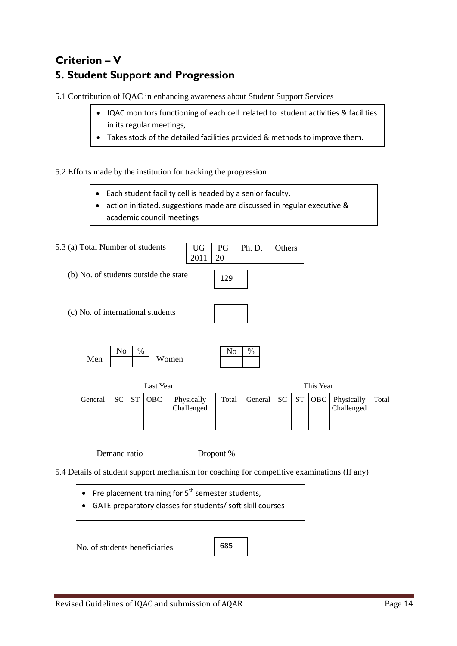### **Criterion – V 5. Student Support and Progression**

5.1 Contribution of IQAC in enhancing awareness about Student Support Services

- IQAC monitors functioning of each cell related to student activities & facilities in its regular meetings,
- Takes stock of the detailed facilities provided & methods to improve them.

5.2 Efforts made by the institution for tracking the progression

- Each student facility cell is headed by a senior faculty,
- action initiated, suggestions made are discussed in regular executive & academic council meetings

5.3 (a) Total Number of students (b) No. of students outside the state (c) No. of international students Men Women UG PG Ph. D. Others 2011 20  $\text{No} \mid \% \mid$ 129

| Last Year |  |  |  |                                                                    | This Year |  |  |  |  |                                                              |       |
|-----------|--|--|--|--------------------------------------------------------------------|-----------|--|--|--|--|--------------------------------------------------------------|-------|
| General   |  |  |  | $\vert$ SC $\vert$ ST $\vert$ OBC $\vert$ Physically<br>Challenged |           |  |  |  |  | Total   General   SC   ST   OBC   Physically  <br>Challenged | Total |
|           |  |  |  |                                                                    |           |  |  |  |  |                                                              |       |

Demand ratio Dropout %

5.4 Details of student support mechanism for coaching for competitive examinations (If any)

- Pre placement training for  $5<sup>th</sup>$  semester students,
- GATE preparatory classes for students/ soft skill courses

No. of students beneficiaries

685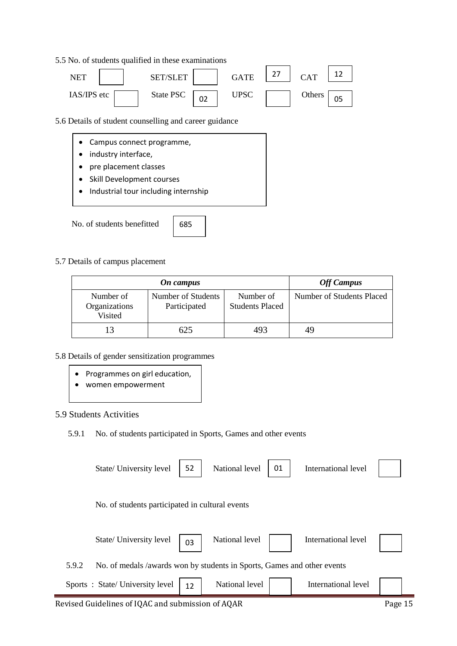#### 5.5 No. of students qualified in these examinations



5.6 Details of student counselling and career guidance

- Campus connect programme,
- industry interface,
- pre placement classes
- Skill Development courses
- Industrial tour including internship

No. of students benefitted

685

#### 5.7 Details of campus placement

|                                       | <b>Off Campus</b>                  |                                     |                           |
|---------------------------------------|------------------------------------|-------------------------------------|---------------------------|
| Number of<br>Organizations<br>Visited | Number of Students<br>Participated | Number of<br><b>Students Placed</b> | Number of Students Placed |
|                                       | 625                                | 493                                 |                           |

#### 5.8 Details of gender sensitization programmes

- Programmes on girl education,
- women empowerment

#### 5.9 Students Activities

#### 5.9.1 No. of students participated in Sports, Games and other events

|       | State/ University level                                                 | 52 | National level | 01 | International level |  |
|-------|-------------------------------------------------------------------------|----|----------------|----|---------------------|--|
|       | No. of students participated in cultural events                         |    |                |    |                     |  |
|       | State/ University level                                                 | 03 | National level |    | International level |  |
| 5.9.2 | No. of medals /awards won by students in Sports, Games and other events |    |                |    |                     |  |
|       | Sports: State/University level                                          | 12 | National level |    | International level |  |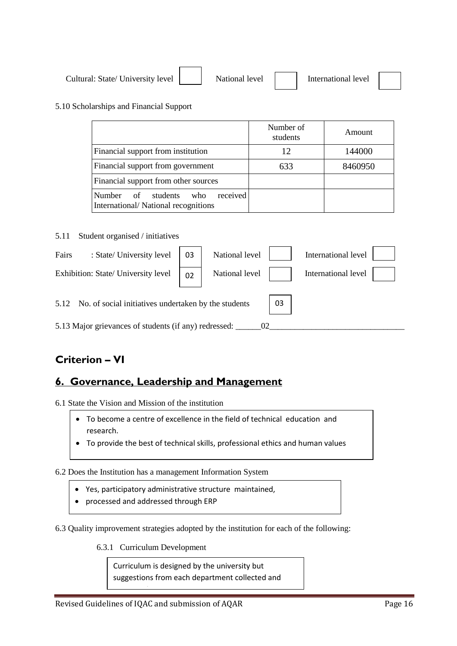| Cultural: State/ University level | National level | International level |  |
|-----------------------------------|----------------|---------------------|--|
|-----------------------------------|----------------|---------------------|--|

#### 5.10 Scholarships and Financial Support

|                                                                                    | Number of<br>students | Amount  |
|------------------------------------------------------------------------------------|-----------------------|---------|
| Financial support from institution                                                 | 12                    | 144000  |
| Financial support from government                                                  | 633                   | 8460950 |
| Financial support from other sources                                               |                       |         |
| received<br>Number<br>of<br>students<br>who<br>International/National recognitions |                       |         |

5.11 Student organised / initiatives

| : State/ University level<br>Fairs                              | 03 | National level |  | International level |
|-----------------------------------------------------------------|----|----------------|--|---------------------|
| Exhibition: State/ University level                             | 02 | National level |  | International level |
| 03<br>5.12 No. of social initiatives undertaken by the students |    |                |  |                     |
| 5.13 Major grievances of students (if any) redressed:           |    |                |  |                     |

### **Criterion – VI**

### **6. Governance, Leadership and Management**

6.1 State the Vision and Mission of the institution

- To become a centre of excellence in the field of technical education and research.
- To provide the best of technical skills, professional ethics and human values

6.2 Does the Institution has a management Information System

- Yes, participatory administrative structure maintained,
- processed and addressed through ERP

6.3 Quality improvement strategies adopted by the institution for each of the following:

6.3.1 Curriculum Development

Curriculum is designed by the university but suggestions from each department collected and

i<del>intimated and a</del>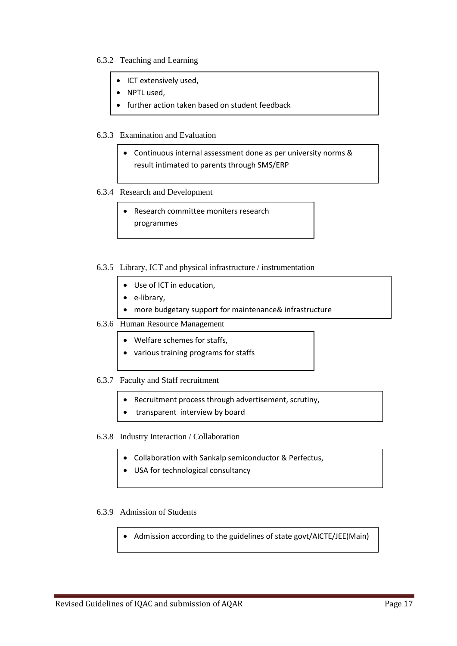#### 6.3.2 Teaching and Learning

- ICT extensively used,
- NPTL used,
- **•** further action taken based on student feedback

#### 6.3.3 Examination and Evaluation

 Continuous internal assessment done as per university norms & result intimated to parents through SMS/ERP

#### 6.3.4 Research and Development

 Research committee moniters research programmes

#### 6.3.5 Library, ICT and physical infrastructure / instrumentation

- Use of ICT in education,
- e-library,
- more budgetary support for maintenance& infrastructure

#### 6.3.6 Human Resource Management

- Welfare schemes for staffs,
- various training programs for staffs

#### 6.3.7 Faculty and Staff recruitment

- Recruitment process through advertisement, scrutiny,
- transparent interview by board
- 6.3.8 Industry Interaction / Collaboration
	- Collaboration with Sankalp semiconductor & Perfectus,
	- USA for technological consultancy

#### 6.3.9 Admission of Students

Admission according to the guidelines of state govt/AICTE/JEE(Main)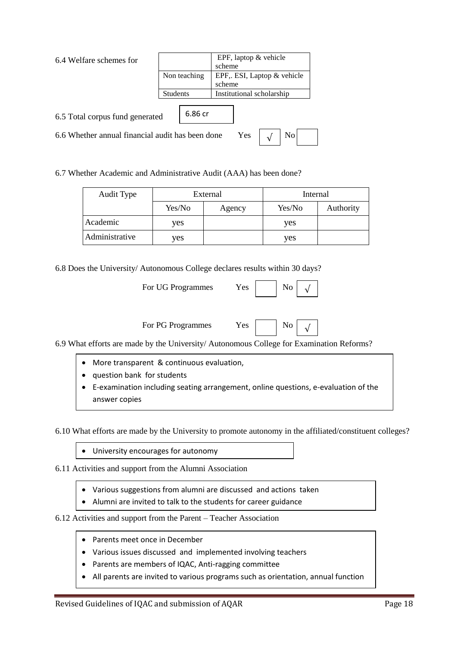|  | 6.4 Welfare schemes for |  |
|--|-------------------------|--|
|  |                         |  |

| 6.4 Welfare schemes for                                       |                 |         |                            | EPF, laptop $&$ vehicle   |  |  |  |
|---------------------------------------------------------------|-----------------|---------|----------------------------|---------------------------|--|--|--|
|                                                               |                 |         | scheme                     |                           |  |  |  |
|                                                               | Non teaching    |         | EPF, ESI, Laptop & vehicle |                           |  |  |  |
|                                                               |                 |         | scheme                     |                           |  |  |  |
|                                                               | <b>Students</b> |         |                            | Institutional scholarship |  |  |  |
|                                                               |                 |         |                            |                           |  |  |  |
| 6.5 Total corpus fund generated                               |                 | 6.86 cr |                            |                           |  |  |  |
| No<br>6.6 Whether annual financial audit has been done<br>Yes |                 |         |                            |                           |  |  |  |

6.7 Whether Academic and Administrative Audit (AAA) has been done?

| Audit Type     | External |        | Internal |           |
|----------------|----------|--------|----------|-----------|
|                | Yes/No   | Agency | Yes/No   | Authority |
| Academic       | ves      |        | yes      |           |
| Administrative | ves      |        | yes      |           |

6.8 Does the University/ Autonomous College declares results within 30 days?

| For UG Programmes | Yes. |  | $\overline{\phantom{a}}$ No |
|-------------------|------|--|-----------------------------|
|-------------------|------|--|-----------------------------|

For PG Programmes Yes

√

6.9 What efforts are made by the University/ Autonomous College for Examination Reforms?

- More transparent & continuous evaluation,
- question bank for students
- E-examination including seating arrangement, online questions, e-evaluation of the answer copies

6.10 What efforts are made by the University to promote autonomy in the affiliated/constituent colleges?

University encourages for autonomy

6.11 Activities and support from the Alumni Association

- Various suggestions from alumni are discussed and actions taken
- Alumni are invited to talk to the students for career guidance

#### 6.12 Activities and support from the Parent – Teacher Association

- Parents meet once in December
- Various issues discussed and implemented involving teachers
- Parents are members of IQAC, Anti-ragging committee
- All parents are invited to various programs such as orientation, annual function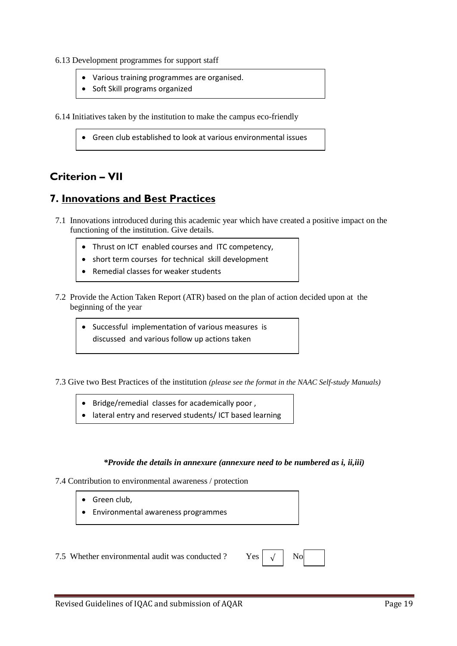- 6.13 Development programmes for support staff
	- Various training programmes are organised.
	- Soft Skill programs organized

6.14 Initiatives taken by the institution to make the campus eco-friendly

Green club established to look at various environmental issues

### **Criterion – VII**

### **7. Innovations and Best Practices**

- 7.1 Innovations introduced during this academic year which have created a positive impact on the functioning of the institution. Give details.
	- Thrust on ICT enabled courses and ITC competency,
	- short term courses for technical skill development
	- Remedial classes for weaker students
- 7.2 Provide the Action Taken Report (ATR) based on the plan of action decided upon at the beginning of the year
	- Successful implementation of various measures is discussed and various follow up actions taken

7.3 Give two Best Practices of the institution *(please see the format in the NAAC Self-study Manuals)*

- Bridge/remedial classes for academically poor ,
- lateral entry and reserved students/ ICT based learning

#### *\*Provide the details in annexure (annexure need to be numbered as i, ii,iii)*

7.4 Contribution to environmental awareness / protection

- **Green club.**
- Environmental awareness programmes

7.5 Whether environmental audit was conducted ? Yes

| ٠٢ |  | ٧O<br><u>та с</u> |
|----|--|-------------------|
|----|--|-------------------|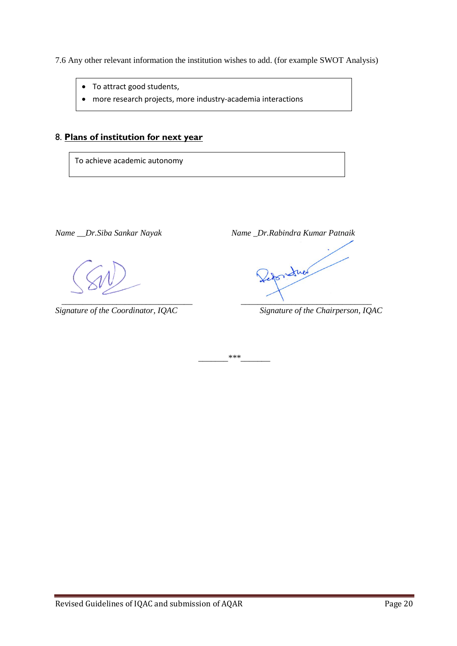7.6 Any other relevant information the institution wishes to add. (for example SWOT Analysis)

- To attract good students,
- more research projects, more industry-academia interactions

#### 8. **Plans of institution for next year**

To achieve academic autonomy

*Name \_\_Dr.Siba Sankar Nayak Name \_Dr.Rabindra Kumar Patnaik \_\_\_\_\_\_\_\_\_\_\_\_\_\_\_\_\_\_\_\_\_\_\_\_\_\_\_\_\_\_\_ \_\_\_\_\_\_\_\_\_\_\_\_\_\_\_\_\_\_\_\_\_\_\_\_\_\_\_\_\_\_\_* 

*Signature of the Coordinator, IQAC Signature of the Chairperson, IQAC*

*\_\_\_\_\_\_\_\*\*\*\_\_\_\_\_\_\_*